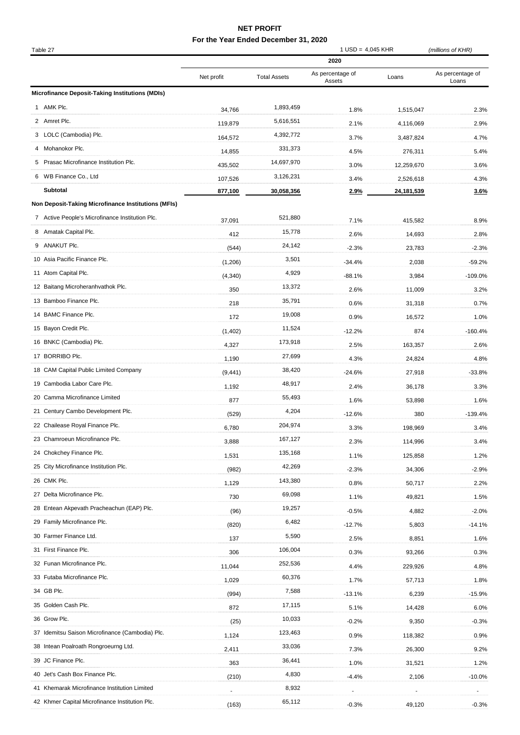## **NET PROFIT**

## **For the Year Ended December 31, 2020**

| Table 27                                               |                    | <b>Total Assets</b> | $1$ USD = 4,045 KHR      |                         | (millions of KHR) |
|--------------------------------------------------------|--------------------|---------------------|--------------------------|-------------------------|-------------------|
|                                                        | Net profit         |                     | 2020<br>As percentage of | Loans                   | As percentage of  |
| <b>Microfinance Deposit-Taking Institutions (MDIs)</b> |                    |                     | Assets                   |                         | Loans             |
| 1 AMK Plc.                                             | 34,766             | 1,893,459           | 1.8%                     |                         | 2.3%              |
| 2 Amret Plc.                                           |                    | 5,616,551           |                          | 1,515,047               |                   |
| 3 LOLC (Cambodia) Plc.                                 | 119,879            | 4,392,772           | 2.1%                     | 4,116,069               | 2.9%              |
| 4 Mohanokor Plc.                                       | 164,572            | 331,373             | 3.7%                     | 3,487,824               | 4.7%              |
| Prasac Microfinance Institution Plc.<br>5.             | 14,855<br>435,502  | 14,697,970          | 4.5%                     | 276,311                 | 5.4%<br>3.6%      |
| 6 WB Finance Co., Ltd                                  |                    | 3,126,231           | 3.0%                     | 12,259,670              |                   |
| <b>Subtotal</b>                                        | 107,526<br>877,100 | 30,058,356          | 3.4%<br>2.9%             | 2,526,618<br>24,181,539 | 4.3%<br>3.6%      |
| Non Deposit-Taking Microfinance Institutions (MFIs)    |                    |                     |                          |                         |                   |
| 7 Active People's Microfinance Institution Plc.        |                    | 521,880             |                          |                         |                   |
| 8 Amatak Capital Plc.                                  | 37,091             | 15,778              | 7.1%                     | 415,582                 | 8.9%              |
| ANAKUT PIc.                                            | 412                | 24,142              | 2.6%                     | 14,693                  | 2.8%              |
| 10 Asia Pacific Finance Plc.                           | (544)              | 3,501               | $-2.3%$                  | 23,783                  | $-2.3%$           |
| 11 Atom Capital Plc.                                   | (1,206)            | 4,929               | $-34.4%$                 | 2,038                   | $-59.2%$          |
| 12 Baitang Microheranhvathok Plc.                      | (4, 340)           | 13,372              | $-88.1%$                 | 3,984                   | $-109.0%$         |
| 13 Bamboo Finance Plc.                                 | 350                | 35,791              | 2.6%                     | 11,009                  | 3.2%              |
| 14 BAMC Finance Plc.                                   | 218                | 19,008              | 0.6%                     | 31,318                  | 0.7%              |
|                                                        | 172                |                     | 0.9%                     | 16,572                  | 1.0%              |
| 15 Bayon Credit Plc.                                   | (1,402)            | 11,524              | $-12.2%$                 | 874                     | $-160.4%$         |
| 16 BNKC (Cambodia) Plc.                                | 4,327              | 173,918             | 2.5%                     | 163,357                 | 2.6%              |
| 17 BORRIBO Plc.                                        | 1,190              | 27,699              | 4.3%                     | 24,824                  | 4.8%              |
| 18 CAM Capital Public Limited Company                  | (9, 441)           | 38,420              | $-24.6%$                 | 27,918                  | $-33.8%$          |
| 19 Cambodia Labor Care Plc.                            | 1,192              | 48,917              | 2.4%                     | 36,178                  | 3.3%              |
| 20 Camma Microfinance Limited                          | 877                | 55,493              | 1.6%                     | 53,898                  | 1.6%              |
| 21 Century Cambo Development Plc.                      | (529)              | 4,204               | $-12.6%$                 | 380                     | $-139.4%$         |
| 22 Chailease Royal Finance Plc.                        | 6,780              | 204,974             | 3.3%                     | 198,969                 | 3.4%              |
| 23 Chamroeun Microfinance Plc.                         | 3,888              | 167,127             | 2.3%                     | 114,996                 | 3.4%              |
| 24 Chokchey Finance Plc.                               | 1,531              | 135,168             | 1.1%                     | 125,858                 | 1.2%              |
| 25 City Microfinance Institution Plc.                  | (982)              | 42,269              | $-2.3%$                  | 34,306                  | $-2.9%$           |
| 26 CMK Plc.                                            | 1,129              | 143,380             | 0.8%                     | 50,717                  | 2.2%              |
| 27 Delta Microfinance Plc.                             | 730                | 69,098              | 1.1%                     | 49,821                  | 1.5%              |
| 28 Entean Akpevath Pracheachun (EAP) Plc.              | (96)               | 19,257              | $-0.5%$                  | 4,882                   | $-2.0%$           |
| 29 Family Microfinance Plc.                            | (820)              | 6,482               | $-12.7%$                 | 5,803                   | $-14.1%$          |
| 30 Farmer Finance Ltd.                                 | 137                | 5,590               | 2.5%                     | 8,851                   | 1.6%              |
| 31 First Finance Plc.                                  | 306                | 106,004             | 0.3%                     | 93,266                  | 0.3%              |
| 32 Funan Microfinance Plc.                             | 11,044             | 252,536             | 4.4%                     | 229,926                 | 4.8%              |
| 33 Futaba Microfinance Plc.                            | 1,029              | 60,376              | 1.7%                     | 57,713                  | 1.8%              |
| 34 GB Plc.                                             | (994)              | 7,588               | $-13.1%$                 | 6,239                   | $-15.9%$          |
| 35 Golden Cash Plc.                                    | 872                | 17,115              | 5.1%                     | 14,428                  | 6.0%              |
| 36 Grow Plc.                                           | (25)               | 10,033              | $-0.2%$                  | 9,350                   | $-0.3%$           |
| 37 Idemitsu Saison Microfinance (Cambodia) Plc.        | 1,124              | 123,463             | 0.9%                     | 118,382                 | 0.9%              |
| 38 Intean Poalroath Rongroeurng Ltd.                   | 2,411              | 33,036              | 7.3%                     | 26,300                  | 9.2%              |
| 39 JC Finance Plc.                                     | 363                | 36,441              | 1.0%                     | 31,521                  | 1.2%              |
| 40 Jet's Cash Box Finance Plc.                         | (210)              | 4,830               | $-4.4%$                  | 2,106                   | $-10.0%$          |
| 41 Khemarak Microfinance Institution Limited           |                    | 8,932               |                          |                         |                   |
| 42 Khmer Capital Microfinance Institution Plc.         | (163)              | 65,112              | $-0.3%$                  | 49,120                  | $-0.3%$           |